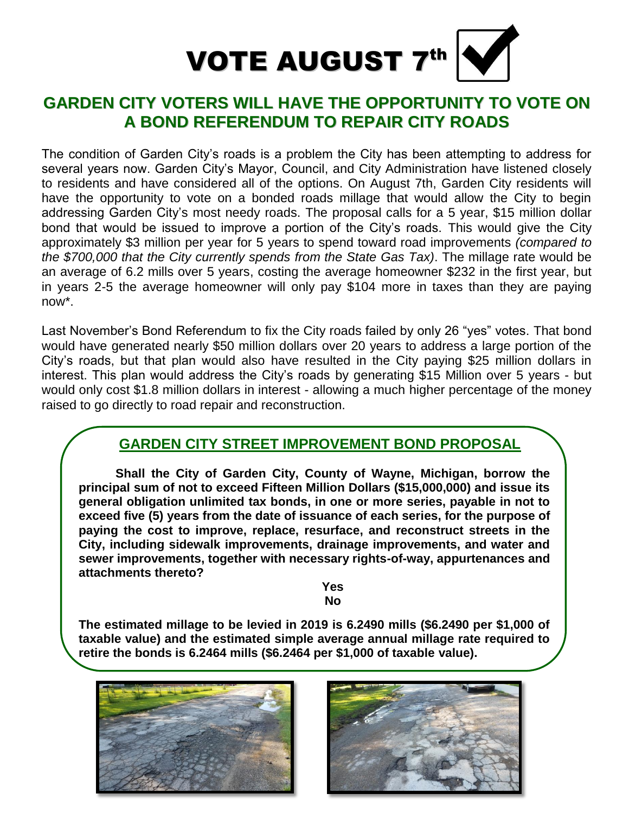

# **GARDEN CITY VOTERS WILL HAVE THE OPPORTUNITY TO VOTE ON A BOND REFERENDUM TO REPAIR CITY ROADS**

The condition of Garden City's roads is a problem the City has been attempting to address for several years now. Garden City's Mayor, Council, and City Administration have listened closely to residents and have considered all of the options. On August 7th, Garden City residents will have the opportunity to vote on a bonded roads millage that would allow the City to begin addressing Garden City's most needy roads. The proposal calls for a 5 year, \$15 million dollar bond that would be issued to improve a portion of the City's roads. This would give the City approximately \$3 million per year for 5 years to spend toward road improvements *(compared to the \$700,000 that the City currently spends from the State Gas Tax)*. The millage rate would be an average of 6.2 mills over 5 years, costing the average homeowner \$232 in the first year, but in years 2-5 the average homeowner will only pay \$104 more in taxes than they are paying now\*.

Last November's Bond Referendum to fix the City roads failed by only 26 "yes" votes. That bond would have generated nearly \$50 million dollars over 20 years to address a large portion of the City's roads, but that plan would also have resulted in the City paying \$25 million dollars in interest. This plan would address the City's roads by generating \$15 Million over 5 years - but would only cost \$1.8 million dollars in interest - allowing a much higher percentage of the money raised to go directly to road repair and reconstruction.

# **GARDEN CITY STREET IMPROVEMENT BOND PROPOSAL**

**Shall the City of Garden City, County of Wayne, Michigan, borrow the principal sum of not to exceed Fifteen Million Dollars (\$15,000,000) and issue its general obligation unlimited tax bonds, in one or more series, payable in not to exceed five (5) years from the date of issuance of each series, for the purpose of paying the cost to improve, replace, resurface, and reconstruct streets in the City, including sidewalk improvements, drainage improvements, and water and sewer improvements, together with necessary rights-of-way, appurtenances and attachments thereto?** 

> **Yes No**

**The estimated millage to be levied in 2019 is 6.2490 mills (\$6.2490 per \$1,000 of taxable value) and the estimated simple average annual millage rate required to retire the bonds is 6.2464 mills (\$6.2464 per \$1,000 of taxable value).**